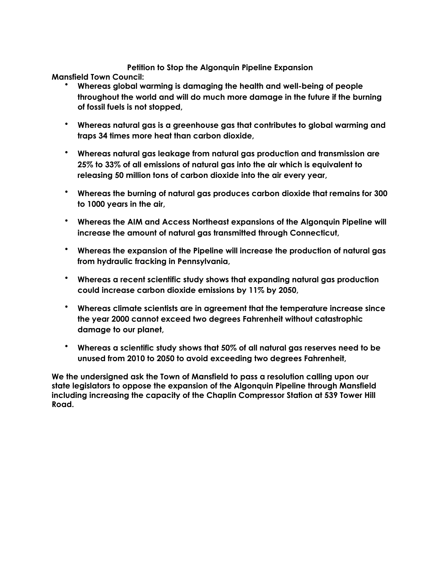## **Petition to Stop the Algonquin Pipeline Expansion**

**Mansfield Town Council:** 

- **Whereas global warming is damaging the health and well-being of people throughout the world and will do much more damage in the future if the burning of fossil fuels is not stopped,**
- **Whereas natural gas is a greenhouse gas that contributes to global warming and traps 34 times more heat than carbon dioxide,**
- **Whereas natural gas leakage from natural gas production and transmission are 25% to 33% of all emissions of natural gas into the air which is equivalent to releasing 50 million tons of carbon dioxide into the air every year,**
- **Whereas the burning of natural gas produces carbon dioxide that remains for 300 to 1000 years in the air,**
- **Whereas the AIM and Access Northeast expansions of the Algonquin Pipeline will increase the amount of natural gas transmitted through Connecticut,**
- **Whereas the expansion of the Pipeline will increase the production of natural gas from hydraulic fracking in Pennsylvania,**
- **Whereas a recent scientific study shows that expanding natural gas production could increase carbon dioxide emissions by 11% by 2050,**
- **Whereas climate scientists are in agreement that the temperature increase since the year 2000 cannot exceed two degrees Fahrenheit without catastrophic damage to our planet,**
- **Whereas a scientific study shows that 50% of all natural gas reserves need to be unused from 2010 to 2050 to avoid exceeding two degrees Fahrenheit,**

**We the undersigned ask the Town of Mansfield to pass a resolution calling upon our state legislators to oppose the expansion of the Algonquin Pipeline through Mansfield including increasing the capacity of the Chaplin Compressor Station at 539 Tower Hill Road.**